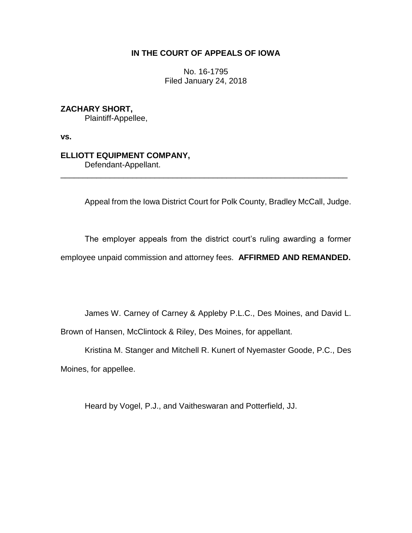# **IN THE COURT OF APPEALS OF IOWA**

No. 16-1795 Filed January 24, 2018

# **ZACHARY SHORT,**

Plaintiff-Appellee,

**vs.**

# **ELLIOTT EQUIPMENT COMPANY,**

Defendant-Appellant.

Appeal from the Iowa District Court for Polk County, Bradley McCall, Judge.

The employer appeals from the district court's ruling awarding a former employee unpaid commission and attorney fees. **AFFIRMED AND REMANDED.**

\_\_\_\_\_\_\_\_\_\_\_\_\_\_\_\_\_\_\_\_\_\_\_\_\_\_\_\_\_\_\_\_\_\_\_\_\_\_\_\_\_\_\_\_\_\_\_\_\_\_\_\_\_\_\_\_\_\_\_\_\_\_\_\_

James W. Carney of Carney & Appleby P.L.C., Des Moines, and David L.

Brown of Hansen, McClintock & Riley, Des Moines, for appellant.

Kristina M. Stanger and Mitchell R. Kunert of Nyemaster Goode, P.C., Des Moines, for appellee.

Heard by Vogel, P.J., and Vaitheswaran and Potterfield, JJ.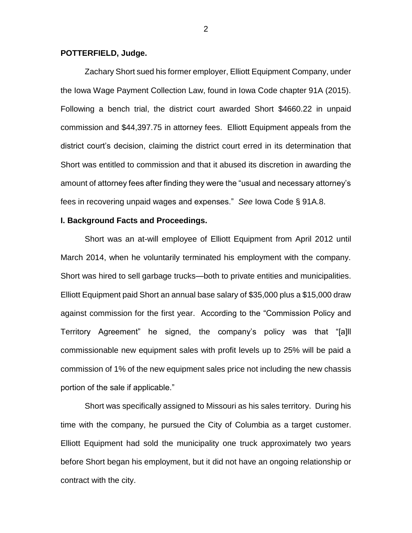## **POTTERFIELD, Judge.**

Zachary Short sued his former employer, Elliott Equipment Company, under the Iowa Wage Payment Collection Law, found in Iowa Code chapter 91A (2015). Following a bench trial, the district court awarded Short \$4660.22 in unpaid commission and \$44,397.75 in attorney fees. Elliott Equipment appeals from the district court's decision, claiming the district court erred in its determination that Short was entitled to commission and that it abused its discretion in awarding the amount of attorney fees after finding they were the "usual and necessary attorney's fees in recovering unpaid wages and expenses." *See* Iowa Code § 91A.8.

## **I. Background Facts and Proceedings.**

Short was an at-will employee of Elliott Equipment from April 2012 until March 2014, when he voluntarily terminated his employment with the company. Short was hired to sell garbage trucks—both to private entities and municipalities. Elliott Equipment paid Short an annual base salary of \$35,000 plus a \$15,000 draw against commission for the first year. According to the "Commission Policy and Territory Agreement" he signed, the company's policy was that "[a]ll commissionable new equipment sales with profit levels up to 25% will be paid a commission of 1% of the new equipment sales price not including the new chassis portion of the sale if applicable."

Short was specifically assigned to Missouri as his sales territory. During his time with the company, he pursued the City of Columbia as a target customer. Elliott Equipment had sold the municipality one truck approximately two years before Short began his employment, but it did not have an ongoing relationship or contract with the city.

2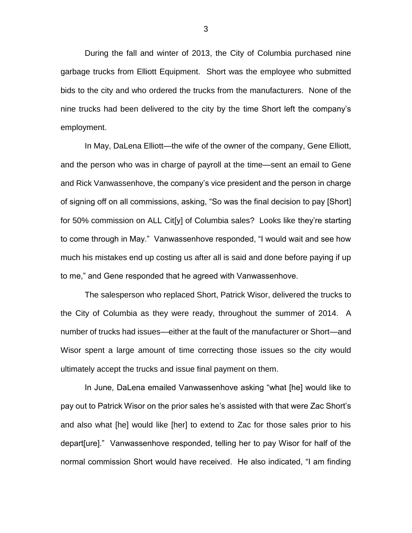During the fall and winter of 2013, the City of Columbia purchased nine garbage trucks from Elliott Equipment. Short was the employee who submitted bids to the city and who ordered the trucks from the manufacturers. None of the nine trucks had been delivered to the city by the time Short left the company's employment.

In May, DaLena Elliott—the wife of the owner of the company, Gene Elliott, and the person who was in charge of payroll at the time—sent an email to Gene and Rick Vanwassenhove, the company's vice president and the person in charge of signing off on all commissions, asking, "So was the final decision to pay [Short] for 50% commission on ALL Cit[y] of Columbia sales? Looks like they're starting to come through in May." Vanwassenhove responded, "I would wait and see how much his mistakes end up costing us after all is said and done before paying if up to me," and Gene responded that he agreed with Vanwassenhove.

The salesperson who replaced Short, Patrick Wisor, delivered the trucks to the City of Columbia as they were ready, throughout the summer of 2014. A number of trucks had issues—either at the fault of the manufacturer or Short—and Wisor spent a large amount of time correcting those issues so the city would ultimately accept the trucks and issue final payment on them.

In June, DaLena emailed Vanwassenhove asking "what [he] would like to pay out to Patrick Wisor on the prior sales he's assisted with that were Zac Short's and also what [he] would like [her] to extend to Zac for those sales prior to his depart[ure]." Vanwassenhove responded, telling her to pay Wisor for half of the normal commission Short would have received. He also indicated, "I am finding

3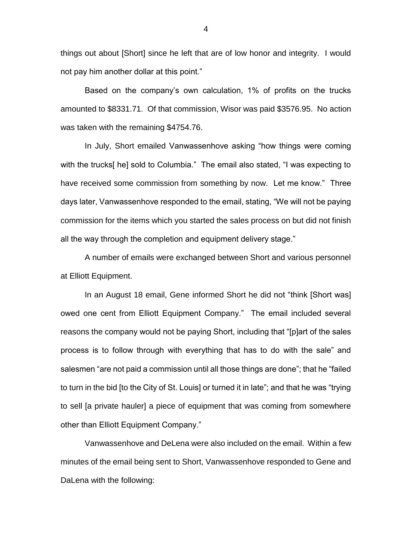things out about [Short] since he left that are of low honor and integrity. I would not pay him another dollar at this point."

Based on the company's own calculation, 1% of profits on the trucks amounted to \$8331.71. Of that commission, Wisor was paid \$3576.95. No action was taken with the remaining \$4754.76.

In July, Short emailed Vanwassenhove asking "how things were coming with the trucks[ he] sold to Columbia." The email also stated, "I was expecting to have received some commission from something by now. Let me know." Three days later, Vanwassenhove responded to the email, stating, "We will not be paying commission for the items which you started the sales process on but did not finish all the way through the completion and equipment delivery stage."

A number of emails were exchanged between Short and various personnel at Elliott Equipment.

In an August 18 email, Gene informed Short he did not "think [Short was] owed one cent from Elliott Equipment Company." The email included several reasons the company would not be paying Short, including that "[p]art of the sales process is to follow through with everything that has to do with the sale" and salesmen "are not paid a commission until all those things are done"; that he "failed to turn in the bid [to the City of St. Louis] or turned it in late"; and that he was "trying to sell [a private hauler] a piece of equipment that was coming from somewhere other than Elliott Equipment Company."

Vanwassenhove and DeLena were also included on the email. Within a few minutes of the email being sent to Short, Vanwassenhove responded to Gene and DaLena with the following: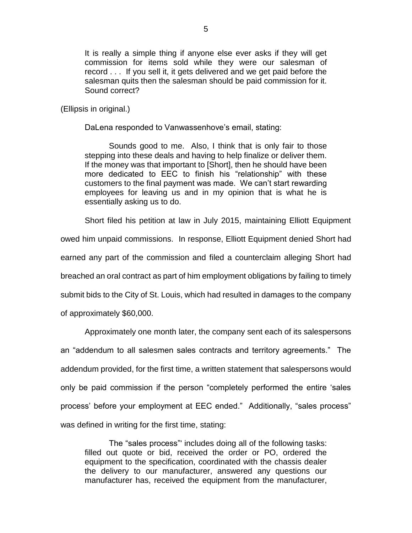It is really a simple thing if anyone else ever asks if they will get commission for items sold while they were our salesman of record . . . If you sell it, it gets delivered and we get paid before the salesman quits then the salesman should be paid commission for it. Sound correct?

## (Ellipsis in original.)

DaLena responded to Vanwassenhove's email, stating:

Sounds good to me. Also, I think that is only fair to those stepping into these deals and having to help finalize or deliver them. If the money was that important to [Short], then he should have been more dedicated to EEC to finish his "relationship" with these customers to the final payment was made. We can't start rewarding employees for leaving us and in my opinion that is what he is essentially asking us to do.

Short filed his petition at law in July 2015, maintaining Elliott Equipment

owed him unpaid commissions. In response, Elliott Equipment denied Short had earned any part of the commission and filed a counterclaim alleging Short had breached an oral contract as part of him employment obligations by failing to timely submit bids to the City of St. Louis, which had resulted in damages to the company of approximately \$60,000.

Approximately one month later, the company sent each of its salespersons an "addendum to all salesmen sales contracts and territory agreements." The addendum provided, for the first time, a written statement that salespersons would only be paid commission if the person "completely performed the entire 'sales process' before your employment at EEC ended." Additionally, "sales process" was defined in writing for the first time, stating:

The "sales process"' includes doing all of the following tasks: filled out quote or bid, received the order or PO, ordered the equipment to the specification, coordinated with the chassis dealer the delivery to our manufacturer, answered any questions our manufacturer has, received the equipment from the manufacturer,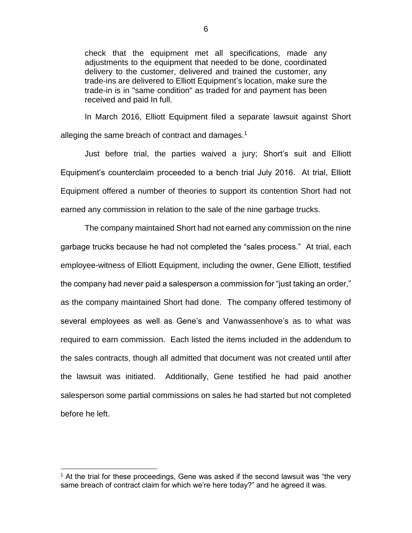check that the equipment met all specifications, made any adjustments to the equipment that needed to be done, coordinated delivery to the customer, delivered and trained the customer, any trade-ins are delivered to Elliott Equipment's location, make sure the trade-in is in "same condition" as traded for and payment has been received and paid In full.

In March 2016, Elliott Equipment filed a separate lawsuit against Short alleging the same breach of contract and damages. $1$ 

Just before trial, the parties waived a jury; Short's suit and Elliott Equipment's counterclaim proceeded to a bench trial July 2016. At trial, Elliott Equipment offered a number of theories to support its contention Short had not earned any commission in relation to the sale of the nine garbage trucks.

The company maintained Short had not earned any commission on the nine garbage trucks because he had not completed the "sales process." At trial, each employee-witness of Elliott Equipment, including the owner, Gene Elliott, testified the company had never paid a salesperson a commission for "just taking an order," as the company maintained Short had done. The company offered testimony of several employees as well as Gene's and Vanwassenhove's as to what was required to earn commission. Each listed the items included in the addendum to the sales contracts, though all admitted that document was not created until after the lawsuit was initiated. Additionally, Gene testified he had paid another salesperson some partial commissions on sales he had started but not completed before he left.

 $\overline{a}$ 

<sup>&</sup>lt;sup>1</sup> At the trial for these proceedings, Gene was asked if the second lawsuit was "the very same breach of contract claim for which we're here today?" and he agreed it was.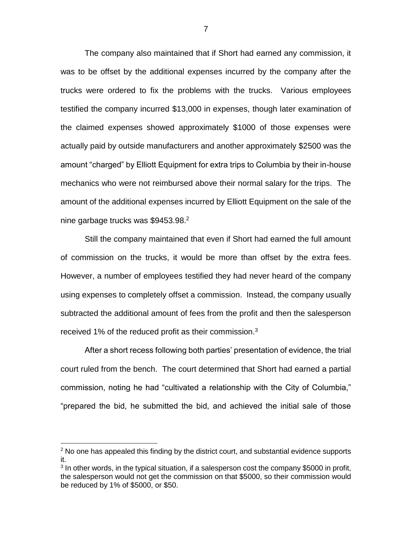The company also maintained that if Short had earned any commission, it was to be offset by the additional expenses incurred by the company after the trucks were ordered to fix the problems with the trucks. Various employees testified the company incurred \$13,000 in expenses, though later examination of the claimed expenses showed approximately \$1000 of those expenses were actually paid by outside manufacturers and another approximately \$2500 was the amount "charged" by Elliott Equipment for extra trips to Columbia by their in-house mechanics who were not reimbursed above their normal salary for the trips. The amount of the additional expenses incurred by Elliott Equipment on the sale of the nine garbage trucks was \$9453.98.<sup>2</sup>

Still the company maintained that even if Short had earned the full amount of commission on the trucks, it would be more than offset by the extra fees. However, a number of employees testified they had never heard of the company using expenses to completely offset a commission. Instead, the company usually subtracted the additional amount of fees from the profit and then the salesperson received 1% of the reduced profit as their commission.<sup>3</sup>

After a short recess following both parties' presentation of evidence, the trial court ruled from the bench. The court determined that Short had earned a partial commission, noting he had "cultivated a relationship with the City of Columbia," "prepared the bid, he submitted the bid, and achieved the initial sale of those

 $\overline{a}$ 

 $2$  No one has appealed this finding by the district court, and substantial evidence supports it.

 $3$  In other words, in the typical situation, if a salesperson cost the company \$5000 in profit, the salesperson would not get the commission on that \$5000, so their commission would be reduced by 1% of \$5000, or \$50.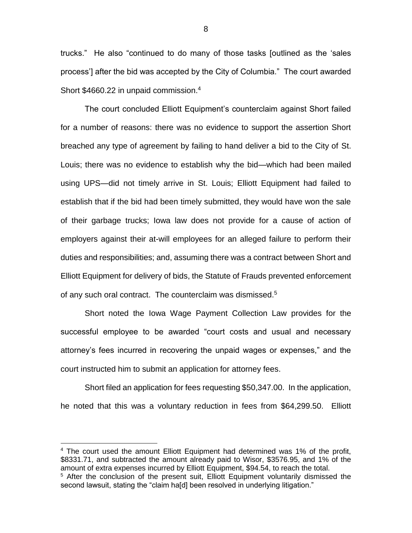trucks." He also "continued to do many of those tasks [outlined as the 'sales process'] after the bid was accepted by the City of Columbia." The court awarded Short \$4660.22 in unpaid commission.<sup>4</sup>

The court concluded Elliott Equipment's counterclaim against Short failed for a number of reasons: there was no evidence to support the assertion Short breached any type of agreement by failing to hand deliver a bid to the City of St. Louis; there was no evidence to establish why the bid—which had been mailed using UPS—did not timely arrive in St. Louis; Elliott Equipment had failed to establish that if the bid had been timely submitted, they would have won the sale of their garbage trucks; Iowa law does not provide for a cause of action of employers against their at-will employees for an alleged failure to perform their duties and responsibilities; and, assuming there was a contract between Short and Elliott Equipment for delivery of bids, the Statute of Frauds prevented enforcement of any such oral contract. The counterclaim was dismissed.<sup>5</sup>

Short noted the Iowa Wage Payment Collection Law provides for the successful employee to be awarded "court costs and usual and necessary attorney's fees incurred in recovering the unpaid wages or expenses," and the court instructed him to submit an application for attorney fees.

Short filed an application for fees requesting \$50,347.00. In the application, he noted that this was a voluntary reduction in fees from \$64,299.50. Elliott

 $\overline{a}$ 

<sup>4</sup> The court used the amount Elliott Equipment had determined was 1% of the profit, \$8331.71, and subtracted the amount already paid to Wisor, \$3576.95, and 1% of the amount of extra expenses incurred by Elliott Equipment, \$94.54, to reach the total.

<sup>&</sup>lt;sup>5</sup> After the conclusion of the present suit, Elliott Equipment voluntarily dismissed the second lawsuit, stating the "claim ha[d] been resolved in underlying litigation."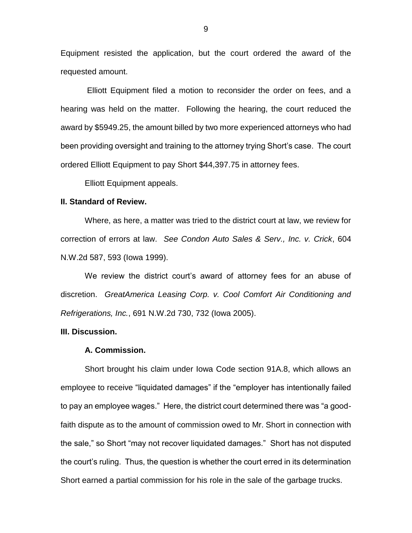Equipment resisted the application, but the court ordered the award of the requested amount.

Elliott Equipment filed a motion to reconsider the order on fees, and a hearing was held on the matter. Following the hearing, the court reduced the award by \$5949.25, the amount billed by two more experienced attorneys who had been providing oversight and training to the attorney trying Short's case. The court ordered Elliott Equipment to pay Short \$44,397.75 in attorney fees.

Elliott Equipment appeals.

## **II. Standard of Review.**

Where, as here, a matter was tried to the district court at law, we review for correction of errors at law. *See Condon Auto Sales & Serv., Inc. v. Crick*, 604 N.W.2d 587, 593 (Iowa 1999).

We review the district court's award of attorney fees for an abuse of discretion. *GreatAmerica Leasing Corp. v. Cool Comfort Air Conditioning and Refrigerations, Inc.*, 691 N.W.2d 730, 732 (Iowa 2005).

# **III. Discussion.**

#### **A. Commission.**

Short brought his claim under Iowa Code section 91A.8, which allows an employee to receive "liquidated damages" if the "employer has intentionally failed to pay an employee wages." Here, the district court determined there was "a goodfaith dispute as to the amount of commission owed to Mr. Short in connection with the sale," so Short "may not recover liquidated damages." Short has not disputed the court's ruling. Thus, the question is whether the court erred in its determination Short earned a partial commission for his role in the sale of the garbage trucks.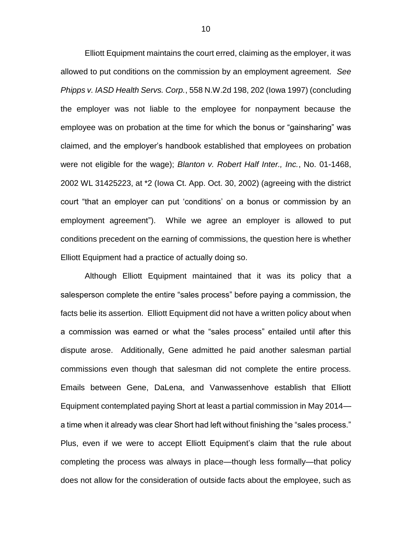Elliott Equipment maintains the court erred, claiming as the employer, it was allowed to put conditions on the commission by an employment agreement. *See Phipps v. IASD Health Servs. Corp.*, 558 N.W.2d 198, 202 (Iowa 1997) (concluding the employer was not liable to the employee for nonpayment because the employee was on probation at the time for which the bonus or "gainsharing" was claimed, and the employer's handbook established that employees on probation were not eligible for the wage); *Blanton v. Robert Half Inter., Inc.*, No. 01-1468, 2002 WL 31425223, at \*2 (Iowa Ct. App. Oct. 30, 2002) (agreeing with the district court "that an employer can put 'conditions' on a bonus or commission by an employment agreement"). While we agree an employer is allowed to put conditions precedent on the earning of commissions, the question here is whether Elliott Equipment had a practice of actually doing so.

Although Elliott Equipment maintained that it was its policy that a salesperson complete the entire "sales process" before paying a commission, the facts belie its assertion. Elliott Equipment did not have a written policy about when a commission was earned or what the "sales process" entailed until after this dispute arose. Additionally, Gene admitted he paid another salesman partial commissions even though that salesman did not complete the entire process. Emails between Gene, DaLena, and Vanwassenhove establish that Elliott Equipment contemplated paying Short at least a partial commission in May 2014 a time when it already was clear Short had left without finishing the "sales process." Plus, even if we were to accept Elliott Equipment's claim that the rule about completing the process was always in place—though less formally—that policy does not allow for the consideration of outside facts about the employee, such as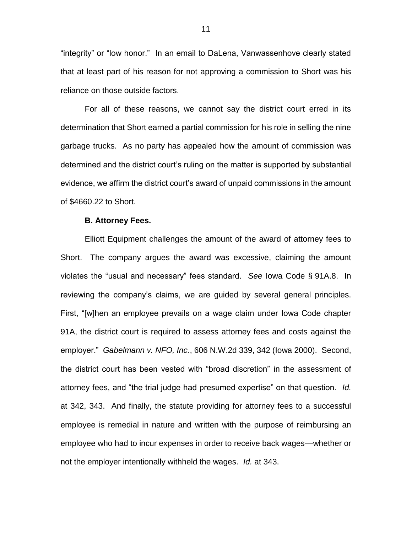"integrity" or "low honor." In an email to DaLena, Vanwassenhove clearly stated that at least part of his reason for not approving a commission to Short was his reliance on those outside factors.

For all of these reasons, we cannot say the district court erred in its determination that Short earned a partial commission for his role in selling the nine garbage trucks. As no party has appealed how the amount of commission was determined and the district court's ruling on the matter is supported by substantial evidence, we affirm the district court's award of unpaid commissions in the amount of \$4660.22 to Short.

#### **B. Attorney Fees.**

Elliott Equipment challenges the amount of the award of attorney fees to Short. The company argues the award was excessive, claiming the amount violates the "usual and necessary" fees standard. *See* Iowa Code § 91A.8. In reviewing the company's claims, we are guided by several general principles. First, "[w]hen an employee prevails on a wage claim under Iowa Code chapter 91A, the district court is required to assess attorney fees and costs against the employer." *Gabelmann v. NFO, Inc.*, 606 N.W.2d 339, 342 (Iowa 2000).Second, the district court has been vested with "broad discretion" in the assessment of attorney fees, and "the trial judge had presumed expertise" on that question. *Id.* at 342, 343. And finally, the statute providing for attorney fees to a successful employee is remedial in nature and written with the purpose of reimbursing an employee who had to incur expenses in order to receive back wages—whether or not the employer intentionally withheld the wages. *Id.* at 343.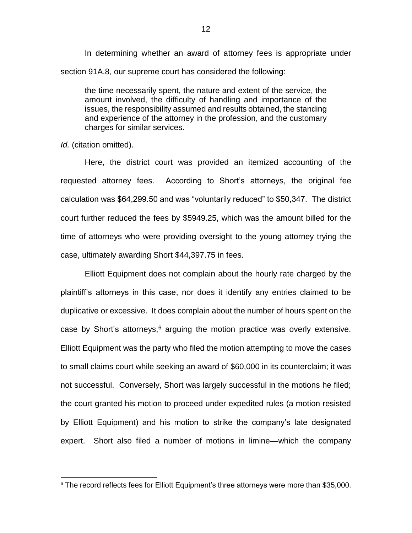In determining whether an award of attorney fees is appropriate under section 91A.8, our supreme court has considered the following:

the time necessarily spent, the nature and extent of the service, the amount involved, the difficulty of handling and importance of the issues, the responsibility assumed and results obtained, the standing and experience of the attorney in the profession, and the customary charges for similar services.

*Id.* (citation omitted).

 $\overline{a}$ 

Here, the district court was provided an itemized accounting of the requested attorney fees. According to Short's attorneys, the original fee calculation was \$64,299.50 and was "voluntarily reduced" to \$50,347. The district court further reduced the fees by \$5949.25, which was the amount billed for the time of attorneys who were providing oversight to the young attorney trying the case, ultimately awarding Short \$44,397.75 in fees.

Elliott Equipment does not complain about the hourly rate charged by the plaintiff's attorneys in this case, nor does it identify any entries claimed to be duplicative or excessive. It does complain about the number of hours spent on the case by Short's attorneys,<sup>6</sup> arguing the motion practice was overly extensive. Elliott Equipment was the party who filed the motion attempting to move the cases to small claims court while seeking an award of \$60,000 in its counterclaim; it was not successful. Conversely, Short was largely successful in the motions he filed; the court granted his motion to proceed under expedited rules (a motion resisted by Elliott Equipment) and his motion to strike the company's late designated expert. Short also filed a number of motions in limine—which the company

 $6$  The record reflects fees for Elliott Equipment's three attorneys were more than \$35,000.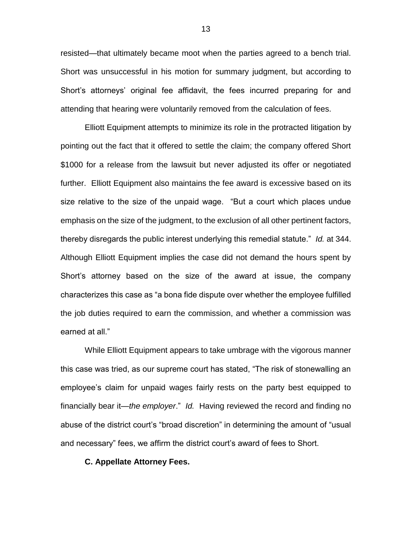resisted—that ultimately became moot when the parties agreed to a bench trial. Short was unsuccessful in his motion for summary judgment, but according to Short's attorneys' original fee affidavit, the fees incurred preparing for and attending that hearing were voluntarily removed from the calculation of fees.

Elliott Equipment attempts to minimize its role in the protracted litigation by pointing out the fact that it offered to settle the claim; the company offered Short \$1000 for a release from the lawsuit but never adjusted its offer or negotiated further. Elliott Equipment also maintains the fee award is excessive based on its size relative to the size of the unpaid wage. "But a court which places undue emphasis on the size of the judgment, to the exclusion of all other pertinent factors, thereby disregards the public interest underlying this remedial statute." *Id.* at 344. Although Elliott Equipment implies the case did not demand the hours spent by Short's attorney based on the size of the award at issue, the company characterizes this case as "a bona fide dispute over whether the employee fulfilled the job duties required to earn the commission, and whether a commission was earned at all."

While Elliott Equipment appears to take umbrage with the vigorous manner this case was tried, as our supreme court has stated, "The risk of stonewalling an employee's claim for unpaid wages fairly rests on the party best equipped to financially bear it—*the employer*." *Id.* Having reviewed the record and finding no abuse of the district court's "broad discretion" in determining the amount of "usual and necessary" fees, we affirm the district court's award of fees to Short.

### **C. Appellate Attorney Fees.**